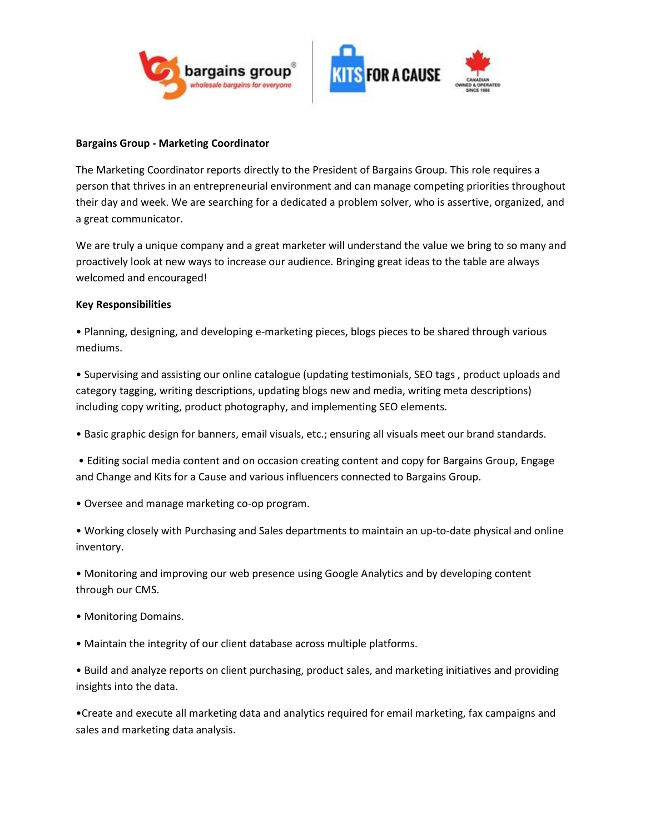



## **Bargains Group - Marketing Coordinator**

The Marketing Coordinator reports directly to the President of Bargains Group. This role requires a person that thrives in an entrepreneurial environment and can manage competing priorities throughout their day and week. We are searching for a dedicated a problem solver, who is assertive, organized, and a great communicator.

We are truly a unique company and a great marketer will understand the value we bring to so many and proactively look at new ways to increase our audience. Bringing great ideas to the table are always welcomed and encouraged!

## **Key Responsibilities**

• Planning, designing, and developing e-marketing pieces, blogs pieces to be shared through various mediums.

• Supervising and assisting our online catalogue (updating testimonials, SEO tags , product uploads and category tagging, writing descriptions, updating blogs new and media, writing meta descriptions) including copy writing, product photography, and implementing SEO elements.

• Basic graphic design for banners, email visuals, etc.; ensuring all visuals meet our brand standards.

• Editing social media content and on occasion creating content and copy for Bargains Group, Engage and Change and Kits for a Cause and various influencers connected to Bargains Group.

- Oversee and manage marketing co-op program.
- Working closely with Purchasing and Sales departments to maintain an up-to-date physical and online inventory.

• Monitoring and improving our web presence using Google Analytics and by developing content through our CMS.

- Monitoring Domains.
- Maintain the integrity of our client database across multiple platforms.

• Build and analyze reports on client purchasing, product sales, and marketing initiatives and providing insights into the data.

•Create and execute all marketing data and analytics required for email marketing, fax campaigns and sales and marketing data analysis.